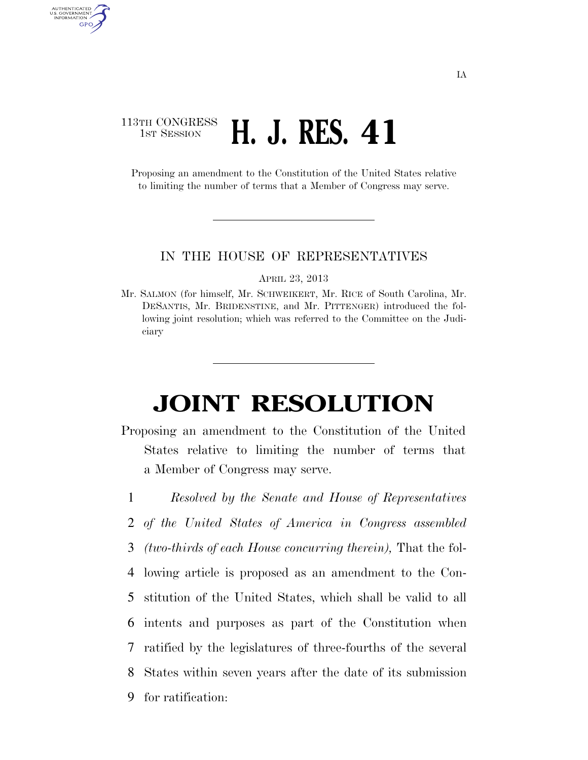## 113TH CONGRESS **1st Session H. J. RES. 41**

AUTHENTICATED U.S. GOVERNMENT GPO

> Proposing an amendment to the Constitution of the United States relative to limiting the number of terms that a Member of Congress may serve.

## IN THE HOUSE OF REPRESENTATIVES

APRIL 23, 2013

Mr. SALMON (for himself, Mr. SCHWEIKERT, Mr. RICE of South Carolina, Mr. DESANTIS, Mr. BRIDENSTINE, and Mr. PITTENGER) introduced the following joint resolution; which was referred to the Committee on the Judiciary

## **JOINT RESOLUTION**

- Proposing an amendment to the Constitution of the United States relative to limiting the number of terms that a Member of Congress may serve.
- 1 *Resolved by the Senate and House of Representatives*  2 *of the United States of America in Congress assembled* 3 *(two-thirds of each House concurring therein),* That the fol-4 lowing article is proposed as an amendment to the Con-5 stitution of the United States, which shall be valid to all 6 intents and purposes as part of the Constitution when 7 ratified by the legislatures of three-fourths of the several 8 States within seven years after the date of its submission 9 for ratification: